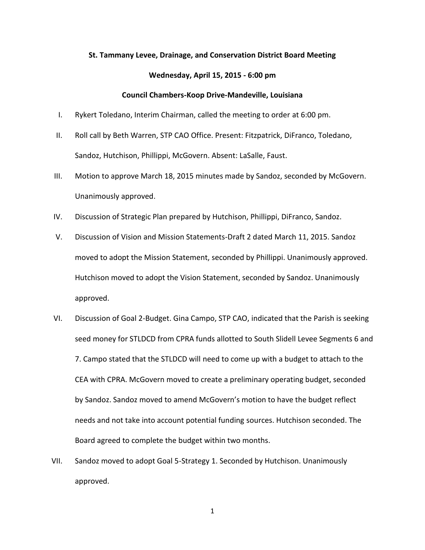## **St. Tammany Levee, Drainage, and Conservation District Board Meeting**

## **Wednesday, April 15, 2015 - 6:00 pm**

## **Council Chambers-Koop Drive-Mandeville, Louisiana**

- I. Rykert Toledano, Interim Chairman, called the meeting to order at 6:00 pm.
- II. Roll call by Beth Warren, STP CAO Office. Present: Fitzpatrick, DiFranco, Toledano, Sandoz, Hutchison, Phillippi, McGovern. Absent: LaSalle, Faust.
- III. Motion to approve March 18, 2015 minutes made by Sandoz, seconded by McGovern. Unanimously approved.
- IV. Discussion of Strategic Plan prepared by Hutchison, Phillippi, DiFranco, Sandoz.
- V. Discussion of Vision and Mission Statements-Draft 2 dated March 11, 2015. Sandoz moved to adopt the Mission Statement, seconded by Phillippi. Unanimously approved. Hutchison moved to adopt the Vision Statement, seconded by Sandoz. Unanimously approved.
- VI. Discussion of Goal 2-Budget. Gina Campo, STP CAO, indicated that the Parish is seeking seed money for STLDCD from CPRA funds allotted to South Slidell Levee Segments 6 and 7. Campo stated that the STLDCD will need to come up with a budget to attach to the CEA with CPRA. McGovern moved to create a preliminary operating budget, seconded by Sandoz. Sandoz moved to amend McGovern's motion to have the budget reflect needs and not take into account potential funding sources. Hutchison seconded. The Board agreed to complete the budget within two months.
- VII. Sandoz moved to adopt Goal 5-Strategy 1. Seconded by Hutchison. Unanimously approved.

1